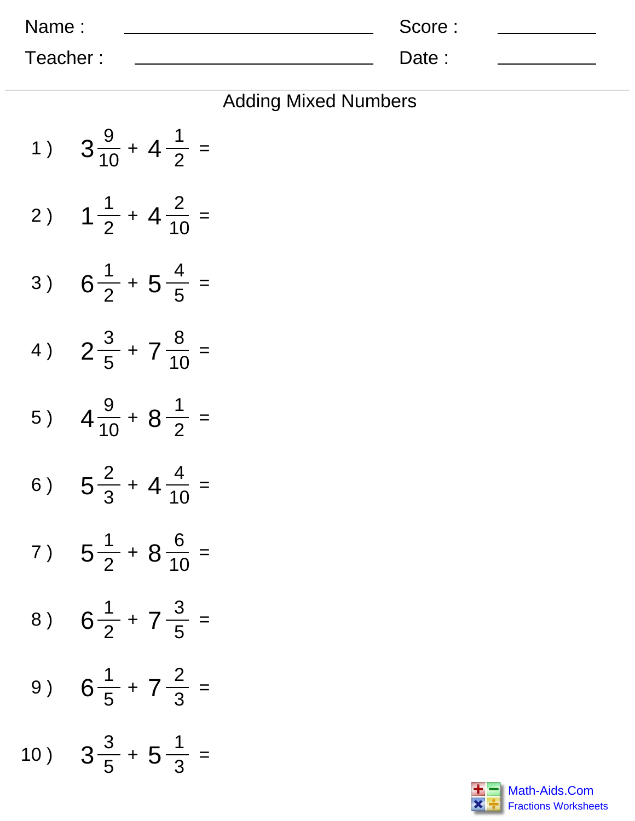| Name:    | Score : |  |
|----------|---------|--|
| Teacher: | Date:   |  |

|  |  | <b>Adding Mixed Numbers</b> |
|--|--|-----------------------------|
|--|--|-----------------------------|

| 1)  | $3\frac{9}{10}$ + 4 $\frac{1}{2}$ = |
|-----|-------------------------------------|
| 2)  | $1\frac{1}{2}$ + $4\frac{2}{10}$ =  |
| 3)  | $6\frac{1}{2}$ + 5 $\frac{4}{5}$ =  |
| 4)  | $2\frac{3}{5}$ + 7 $\frac{8}{10}$ = |
| 5)  | $4\frac{9}{10} + 8\frac{1}{2} =$    |
| 6)  | $5\frac{2}{3}$ + 4 $\frac{4}{10}$ = |
| 7)  | $5\frac{1}{2} + 8\frac{6}{10} =$    |
| 8)  | $6\frac{1}{2} + 7\frac{3}{5}$ =     |
| 9)  | $6\frac{1}{5}$ + $7\frac{2}{3}$ =   |
| 10) | $3\frac{3}{5}$ + 5 $\frac{1}{3}$ =  |